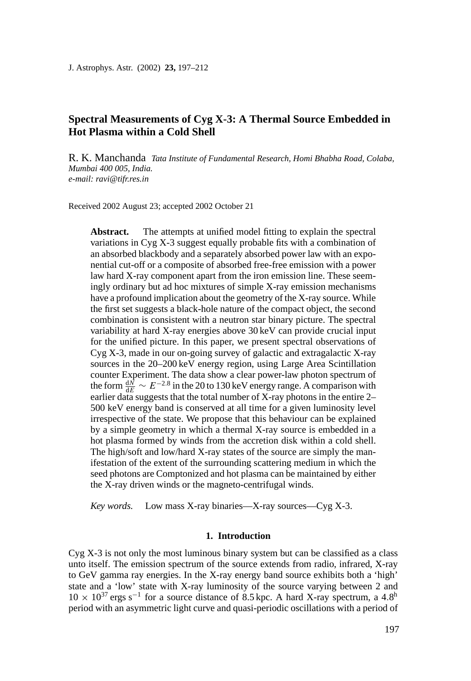J. Astrophys. Astr. (2002) **23,** 197–212

# **Spectral Measurements of Cyg X-3: A Thermal Source Embedded in Hot Plasma within a Cold Shell**

R. K. Manchanda *Tata Institute of Fundamental Research, Homi Bhabha Road, Colaba, Mumbai 400 005, India. e-mail: ravi@tifr.res.in*

Received 2002 August 23; accepted 2002 October 21

Abstract. The attempts at unified model fitting to explain the spectral variations in Cyg X-3 suggest equally probable fits with a combination of an absorbed blackbody and a separately absorbed power law with an exponential cut-off or a composite of absorbed free-free emission with a power law hard X-ray component apart from the iron emission line. These seemingly ordinary but ad hoc mixtures of simple X-ray emission mechanisms have a profound implication about the geometry of the X-ray source. While the first set suggests a black-hole nature of the compact object, the second combination is consistent with a neutron star binary picture. The spectral variability at hard X-ray energies above 30 keV can provide crucial input for the unified picture. In this paper, we present spectral observations of Cyg X-3, made in our on-going survey of galactic and extragalactic X-ray sources in the 20–200 keV energy region, using Large Area Scintillation counter Experiment. The data show a clear power-law photon spectrum of the form  $\frac{dN}{dE} \sim E^{-2.8}$  in the 20 to 130 keV energy range. A comparison with earlier data suggests that the total number of X-ray photons in the entire  $2-$ 500 keV energy band is conserved at all time for a given luminosity level irrespective of the state. We propose that this behaviour can be explained by a simple geometry in which a thermal X-ray source is embedded in a hot plasma formed by winds from the accretion disk within a cold shell. The high/soft and low/hard X-ray states of the source are simply the manifestation of the extent of the surrounding scattering medium in which the seed photons are Comptonized and hot plasma can be maintained by either the X-ray driven winds or the magneto-centrifugal winds.

*Key words.* Low mass X-ray binaries—X-ray sources—Cyg X-3.

#### **1. Introduction**

 $Cyg X-3$  is not only the most luminous binary system but can be classified as a class unto itself. The emission spectrum of the source extends from radio, infrared, X-ray to GeV gamma ray energies. In the X-ray energy band source exhibits both a 'high' state and a 'low' state with X-ray luminosity of the source varying between 2 and  $10 \times 10^{37}$  ergs s<sup>-1</sup> for a source distance of 8.5 kpc. A hard X-ray spectrum, a 4.8<sup>h</sup> period with an asymmetric light curve and quasi-periodic oscillations with a period of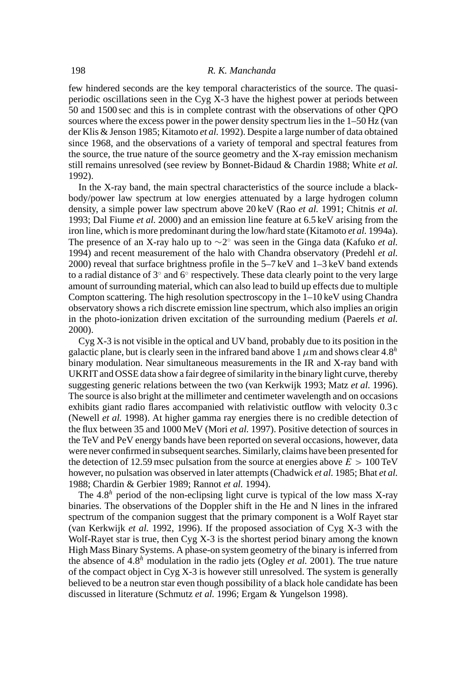few hindered seconds are the key temporal characteristics of the source. The quasiperiodic oscillations seen in the Cyg X-3 have the highest power at periods between 50 and 1500 sec and this is in complete contrast with the observations of other QPO sources where the excess power in the power density spectrum lies in the 1–50 Hz (van der Klis & Jenson 1985; Kitamoto *et al.* 1992). Despite a large number of data obtained since 1968, and the observations of a variety of temporal and spectral features from the source, the true nature of the source geometry and the X-ray emission mechanism still remains unresolved (see review by Bonnet-Bidaud & Chardin 1988; White *et al.* 1992).

In the X-ray band, the main spectral characteristics of the source include a blackbody/power law spectrum at low energies attenuated by a large hydrogen column density, a simple power law spectrum above 20 keV (Rao *et al.* 1991; Chitnis *et al.* 1993; Dal Fiume *et al.* 2000) and an emission line feature at 6.5 keV arising from the iron line, which is more predominant during the low/hard state (Kitamoto *et al.* 1994a). The presence of an X-ray halo up to  $\sim$ 2° was seen in the Ginga data (Kafuko *et al.*) 1994) and recent measurement of the halo with Chandra observatory (Predehl *et al.* 2000) reveal that surface brightness profile in the 5–7 keV and 1–3 keV band extends to a radial distance of  $3^\circ$  and  $6^\circ$  respectively. These data clearly point to the very large amount of surrounding material, which can also lead to build up effects due to multiple Compton scattering. The high resolution spectroscopy in the  $1-10 \,\text{keV}$  using Chandra observatory shows a rich discrete emission line spectrum, which also implies an origin in the photo-ionization driven excitation of the surrounding medium (Paerels *et al.* 2000).

Cyg X-3 is not visible in the optical and UV band, probably due to its position in the galactic plane, but is clearly seen in the infrared band above 1  $\mu$ m and shows clear 4.8<sup>h</sup> binary modulation. Near simultaneous measurements in the IR and X-ray band with UKRIT and OSSE data show a fair degree of similarity in the binary light curve, thereby suggesting generic relations between the two (van Kerkwijk 1993; Matz *et al.* 1996). The source is also bright at the millimeter and centimeter wavelength and on occasions exhibits giant radio flares accompanied with relativistic outflow with velocity 0.3 c (Newell *et al.* 1998). At higher gamma ray energies there is no credible detection of the flux between 35 and 1000 MeV (Mori *et al.* 1997). Positive detection of sources in the TeV and PeV energy bands have been reported on several occasions, however, data were never confirmed in subsequent searches. Similarly, claims have been presented for the detection of 12.59 msec pulsation from the source at energies above  $E > 100 \text{ TeV}$ however, no pulsation was observed in later attempts (Chadwick *et al.* 1985; Bhat *et al.* 1988; Chardin & Gerbier 1989; Rannot *et al.* 1994).

The  $4.8<sup>h</sup>$  period of the non-eclipsing light curve is typical of the low mass X-ray binaries. The observations of the Doppler shift in the He and N lines in the infrared spectrum of the companion suggest that the primary component is a Wolf Rayet star (van Kerkwijk *et al.* 1992, 1996). If the proposed association of Cyg X-3 with the Wolf-Rayet star is true, then Cyg X-3 is the shortest period binary among the known High Mass Binary Systems. A phase-on system geometry of the binary is inferred from the absence of  $4.8<sup>h</sup>$  modulation in the radio jets (Ogley *et al.* 2001). The true nature of the compact object in  $Cyg X-3$  is however still unresolved. The system is generally believed to be a neutron star even though possibility of a black hole candidate has been discussed in literature (Schmutz *et al.* 1996; Ergam & Yungelson 1998).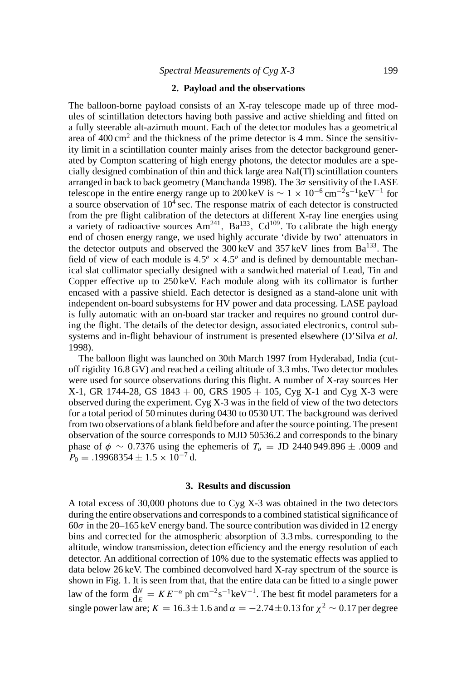## **2. Payload and the observations**

The balloon-borne payload consists of an X-ray telescope made up of three modules of scintillation detectors having both passive and active shielding and fitted on a fully steerable alt-azimuth mount. Each of the detector modules has a geometrical area of  $400 \text{ cm}^2$  and the thickness of the prime detector is 4 mm. Since the sensitivity limit in a scintillation counter mainly arises from the detector background generated by Compton scattering of high energy photons, the detector modules are a specially designed combination of thin and thick large area NaI(Tl) scintillation counters arranged in back to back geometry (Manchanda 1998). The  $3\sigma$  sensitivity of the LASE telescope in the entire energy range up to 200 keV is  $\sim 1 \times 10^{-6}$  cm<sup>-2</sup>s<sup>-1</sup>keV<sup>-1</sup> for a source observation of  $10^4$  sec. The response matrix of each detector is constructed from the pre flight calibration of the detectors at different X-ray line energies using a variety of radioactive sources  $Am^{241}$ ,  $Ba^{133}$ ,  $Cd^{109}$ . To calibrate the high energy end of chosen energy range, we used highly accurate 'divide by two' attenuators in the detector outputs and observed the  $300 \,\text{keV}$  and  $357 \,\text{keV}$  lines from  $Ba^{133}$ . The field of view of each module is  $4.5^{\circ} \times 4.5^{\circ}$  and is defined by demountable mechanical slat collimator specially designed with a sandwiched material of Lead, Tin and Copper effective up to 250 keV. Each module along with its collimator is further encased with a passive shield. Each detector is designed as a stand-alone unit with independent on-board subsystems for HV power and data processing. LASE payload is fully automatic with an on-board star tracker and requires no ground control during the flight. The details of the detector design, associated electronics, control subsystems and in-flight behaviour of instrument is presented elsewhere (D'Silva *et al.* 1998).

The balloon flight was launched on 30th March 1997 from Hyderabad, India (cutoff rigidity 16.8 GV) and reached a ceiling altitude of 3.3 mbs. Two detector modules were used for source observations during this flight. A number of X-ray sources Her X-1, GR 1744-28, GS  $1843 + 00$ , GRS  $1905 + 105$ , Cyg X-1 and Cyg X-3 were observed during the experiment. Cyg X-3 was in the field of view of the two detectors for a total period of 50 minutes during 0430 to 0530 UT. The background was derived from two observations of a blank field before and after the source pointing. The present observation of the source corresponds to MJD 50536.2 and corresponds to the binary phase of  $\phi \sim 0.7376$  using the ephemeris of  $T_o = JD 2440949.896 \pm .0009$  and  $P_0 = .19968354 \pm 1.5 \times 10^{-7}$  d.

#### **3. Results and discussion**

A total excess of 30,000 photons due to Cyg X-3 was obtained in the two detectors during the entire observations and corresponds to a combined statistical significance of  $60\sigma$  in the 20–165 keV energy band. The source contribution was divided in 12 energy bins and corrected for the atmospheric absorption of 3.3 mbs. corresponding to the altitude, window transmission, detection efficiency and the energy resolution of each detector. An additional correction of 10% due to the systematic effects was applied to data below 26 keV. The combined deconvolved hard X-ray spectrum of the source is shown in Fig. 1. It is seen from that, that the entire data can be fitted to a single power law of the form  $\frac{dw}{dE} = KE^{-\alpha}$  ph cm<sup>-2</sup>s<sup>-1</sup>keV<sup>-1</sup>. The best fit model parameters for a single power law are;  $K = 16.3 \pm 1.6$  and  $\alpha = -2.74 \pm 0.13$  for  $\chi^2 \sim 0.17$  per degree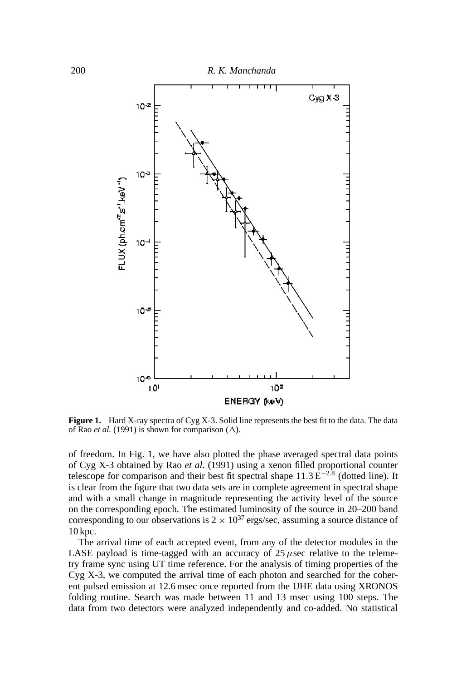

Figure 1. Hard X-ray spectra of Cyg X-3. Solid line represents the best fit to the data. The data of Rao *et al.* (1991) is shown for comparison  $(\Delta)$ .

of freedom. In Fig. 1, we have also plotted the phase averaged spectral data points of Cyg X-3 obtained by Rao *et al.* (1991) using a xenon filled proportional counter telescope for comparison and their best fit spectral shape  $11.3 \text{ E}^{-2.8}$  (dotted line). It is clear from the figure that two data sets are in complete agreement in spectral shape and with a small change in magnitude representing the activity level of the source on the corresponding epoch. The estimated luminosity of the source in 20–200 band corresponding to our observations is  $2 \times 10^{37}$  ergs/sec, assuming a source distance of 10 kpc.

The arrival time of each accepted event, from any of the detector modules in the LASE payload is time-tagged with an accuracy of  $25 \mu$ sec relative to the telemetry frame sync using UT time reference. For the analysis of timing properties of the Cyg X-3, we computed the arrival time of each photon and searched for the coherent pulsed emission at 12.6 msec once reported from the UHE data using XRONOS folding routine. Search was made between 11 and 13 msec using 100 steps. The data from two detectors were analyzed independently and co-added. No statistical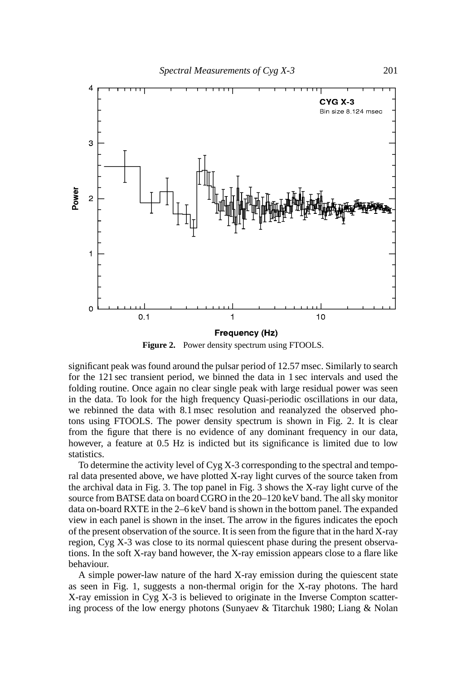

**Figure 2.** Power density spectrum using FTOOLS.

significant peak was found around the pulsar period of 12.57 msec. Similarly to search for the 121 sec transient period, we binned the data in 1 sec intervals and used the folding routine. Once again no clear single peak with large residual power was seen in the data. To look for the high frequency Quasi-periodic oscillations in our data, we rebinned the data with 8.1 msec resolution and reanalyzed the observed photons using FTOOLS. The power density spectrum is shown in Fig. 2. It is clear from the figure that there is no evidence of any dominant frequency in our data, however, a feature at 0.5 Hz is indicted but its significance is limited due to low statistics.

To determine the activity level of Cyg X-3 corresponding to the spectral and temporal data presented above, we have plotted X-ray light curves of the source taken from the archival data in Fig. 3. The top panel in Fig. 3 shows the X-ray light curve of the source from BATSE data on board CGRO in the 20–120 keV band. The all sky monitor data on-board RXTE in the 2–6 keV band is shown in the bottom panel. The expanded view in each panel is shown in the inset. The arrow in the figures indicates the epoch of the present observation of the source. It is seen from the figure that in the hard X-ray region, Cyg X-3 was close to its normal quiescent phase during the present observations. In the soft X-ray band however, the X-ray emission appears close to a flare like behaviour.

A simple power-law nature of the hard X-ray emission during the quiescent state as seen in Fig. 1, suggests a non-thermal origin for the X-ray photons. The hard X-ray emission in Cyg X-3 is believed to originate in the Inverse Compton scattering process of the low energy photons (Sunyaev & Titarchuk 1980; Liang & Nolan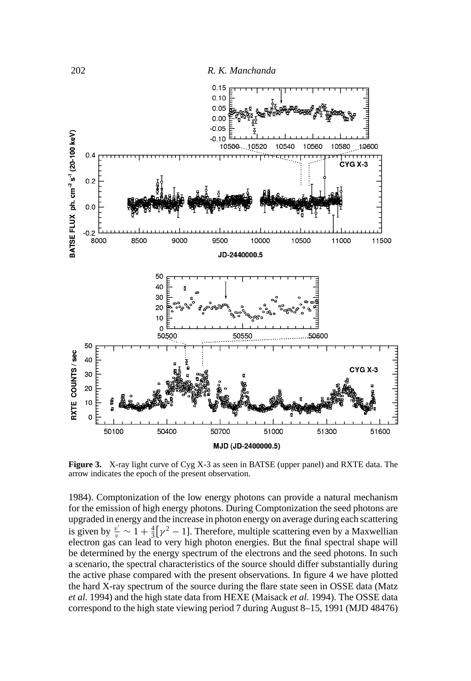

**Figure 3.** X-ray light curve of Cyg X-3 as seen in BATSE (upper panel) and RXTE data. The arrow indicates the epoch of the present observation.

1984). Comptonization of the low energy photons can provide a natural mechanism for the emission of high energy photons. During Comptonization the seed photons are upgraded in energy and the increase in photon energy on average during each scattering is given by  $\frac{v'}{v} \sim 1 + \frac{4}{3} [\gamma^2 - 1]$ . Therefore, multiple scattering even by a Maxwellian electron gas can lead to very high photon energies. But the final spectral shape will be determined by the energy spectrum of the electrons and the seed photons. In such a scenario, the spectral characteristics of the source should differ substantially during the active phase compared with the present observations. In figure 4 we have plotted the hard X-ray spectrum of the source during the flare state seen in OSSE data (Matz *et al.* 1994) and the high state data from HEXE (Maisack *et al.* 1994). The OSSE data correspond to the high state viewing period 7 during August 8–15, 1991 (MJD 48476)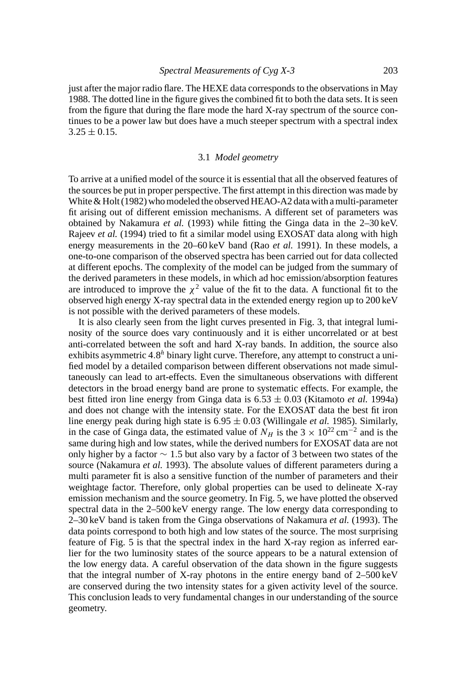just after the major radio flare. The HEXE data corresponds to the observations in May 1988. The dotted line in the figure gives the combined fit to both the data sets. It is seen from the figure that during the flare mode the hard X-ray spectrum of the source continues to be a power law but does have a much steeper spectrum with a spectral index  $3.25 \pm 0.15$ .

#### 3.1 *Model geometry*

To arrive at a unified model of the source it is essential that all the observed features of the sources be put in proper perspective. The first attempt in this direction was made by White & Holt (1982) who modeled the observed HEAO-A2 data with a multi-parameter fit arising out of different emission mechanisms. A different set of parameters was obtained by Nakamura *et al.* (1993) while fitting the Ginga data in the 2–30 keV. Rajeev *et al.* (1994) tried to fit a similar model using EXOSAT data along with high energy measurements in the 20–60 keV band (Rao *et al.* 1991). In these models, a one-to-one comparison of the observed spectra has been carried out for data collected at different epochs. The complexity of the model can be judged from the summary of the derived parameters in these models, in which ad hoc emission/absorption features are introduced to improve the  $\chi^2$  value of the fit to the data. A functional fit to the observed high energy X-ray spectral data in the extended energy region up to 200 keV is not possible with the derived parameters of these models.

It is also clearly seen from the light curves presented in Fig. 3, that integral luminosity of the source does vary continuously and it is either uncorrelated or at best anti-correlated between the soft and hard X-ray bands. In addition, the source also exhibits asymmetric 4.8<sup>h</sup> binary light curve. Therefore, any attempt to construct a unified model by a detailed comparison between different observations not made simultaneously can lead to art-effects. Even the simultaneous observations with different detectors in the broad energy band are prone to systematic effects. For example, the best fitted iron line energy from Ginga data is 6.53 ± 0.03 (Kitamoto *et al.* 1994a) and does not change with the intensity state. For the EXOSAT data the best fit iron line energy peak during high state is  $6.95 \pm 0.03$  (Willingale *et al.* 1985). Similarly, in the case of Ginga data, the estimated value of  $N_H$  is the 3 × 10<sup>22</sup> cm<sup>-2</sup> and is the same during high and low states, while the derived numbers for EXOSAT data are not only higher by a factor  $\sim$  1.5 but also vary by a factor of 3 between two states of the source (Nakamura *et al.* 1993). The absolute values of different parameters during a multi parameter fit is also a sensitive function of the number of parameters and their weightage factor. Therefore, only global properties can be used to delineate X-ray emission mechanism and the source geometry. In Fig. 5, we have plotted the observed spectral data in the 2–500 keV energy range. The low energy data corresponding to 2–30 keV band is taken from the Ginga observations of Nakamura *et al.* (1993). The data points correspond to both high and low states of the source. The most surprising feature of Fig. 5 is that the spectral index in the hard X-ray region as inferred earlier for the two luminosity states of the source appears to be a natural extension of the low energy data. A careful observation of the data shown in the figure suggests that the integral number of X-ray photons in the entire energy band of 2–500 keV are conserved during the two intensity states for a given activity level of the source. This conclusion leads to very fundamental changes in our understanding of the source geometry.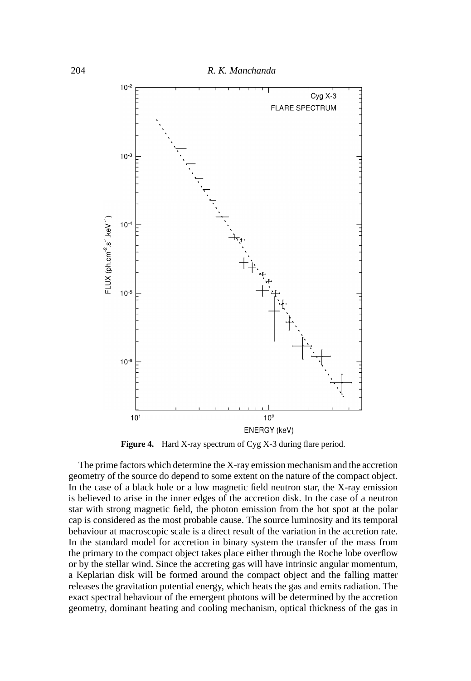

**Figure 4.** Hard X-ray spectrum of Cyg X-3 during flare period.

The prime factors which determine the X-ray emission mechanism and the accretion geometry of the source do depend to some extent on the nature of the compact object. In the case of a black hole or a low magnetic field neutron star, the X-ray emission is believed to arise in the inner edges of the accretion disk. In the case of a neutron star with strong magnetic field, the photon emission from the hot spot at the polar cap is considered as the most probable cause. The source luminosity and its temporal behaviour at macroscopic scale is a direct result of the variation in the accretion rate. In the standard model for accretion in binary system the transfer of the mass from the primary to the compact object takes place either through the Roche lobe overflow or by the stellar wind. Since the accreting gas will have intrinsic angular momentum, a Keplarian disk will be formed around the compact object and the falling matter releases the gravitation potential energy, which heats the gas and emits radiation. The exact spectral behaviour of the emergent photons will be determined by the accretion geometry, dominant heating and cooling mechanism, optical thickness of the gas in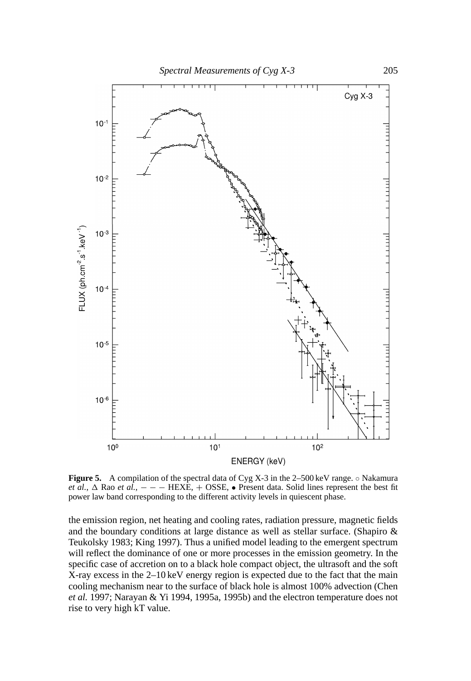

**Figure 5.** A compilation of the spectral data of Cyg X-3 in the 2–500 keV range. ◦ Nakamura *et al.*,  $\Delta$  Rao *et al.*,  $-$  − − HEXE, + OSSE, • Present data. Solid lines represent the best fit power law band corresponding to the different activity levels in quiescent phase.

the emission region, net heating and cooling rates, radiation pressure, magnetic fields and the boundary conditions at large distance as well as stellar surface. (Shapiro & Teukolsky 1983; King 1997). Thus a unified model leading to the emergent spectrum will reflect the dominance of one or more processes in the emission geometry. In the specific case of accretion on to a black hole compact object, the ultrasoft and the soft X-ray excess in the 2–10 keV energy region is expected due to the fact that the main cooling mechanism near to the surface of black hole is almost 100% advection (Chen *et al.* 1997; Narayan & Yi 1994, 1995a, 1995b) and the electron temperature does not rise to very high kT value.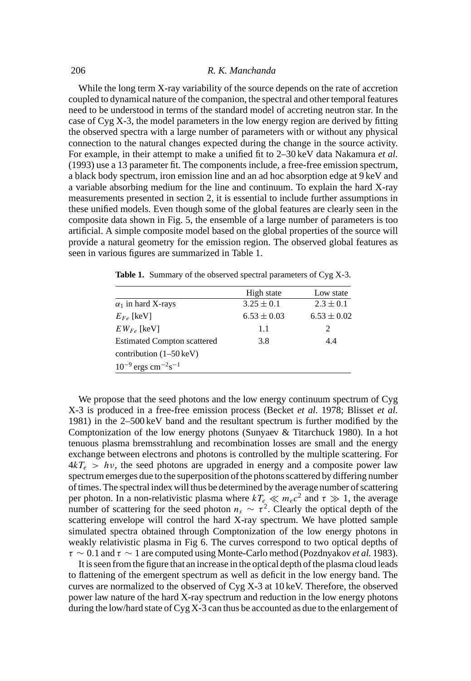While the long term X-ray variability of the source depends on the rate of accretion coupled to dynamical nature of the companion, the spectral and other temporal features need to be understood in terms of the standard model of accreting neutron star. In the case of Cyg X-3, the model parameters in the low energy region are derived by fitting the observed spectra with a large number of parameters with or without any physical connection to the natural changes expected during the change in the source activity. For example, in their attempt to make a unified fit to 2–30 keV data Nakamura *et al.* (1993) use a 13 parameter fit. The components include, a free-free emission spectrum, a black body spectrum, iron emission line and an ad hoc absorption edge at 9 keV and a variable absorbing medium for the line and continuum. To explain the hard X-ray measurements presented in section 2, it is essential to include further assumptions in these unified models. Even though some of the global features are clearly seen in the composite data shown in Fig. 5, the ensemble of a large number of parameters is too artificial. A simple composite model based on the global properties of the source will provide a natural geometry for the emission region. The observed global features as seen in various figures are summarized in Table 1.

|                                                 | High state      | Low state       |
|-------------------------------------------------|-----------------|-----------------|
| $\alpha_1$ in hard X-rays                       | $3.25 \pm 0.1$  | $2.3 \pm 0.1$   |
| $E_{Fe}$ [keV]                                  | $6.53 \pm 0.03$ | $6.53 \pm 0.02$ |
| $EW_{Fe}$ [keV]                                 | 1.1             | 2               |
| <b>Estimated Compton scattered</b>              | 3.8             | 4.4             |
| contribution $(1–50 \text{ keV})$               |                 |                 |
| $10^{-9}$ ergs cm <sup>-2</sup> s <sup>-1</sup> |                 |                 |

**Table 1.** Summary of the observed spectral parameters of Cyg X-3.

We propose that the seed photons and the low energy continuum spectrum of Cyg X-3 is produced in a free-free emission process (Becket *et al.* 1978; Blisset *et al.* 1981) in the 2–500 keV band and the resultant spectrum is further modified by the Comptonization of the low energy photons (Sunyaev & Titarchuck 1980). In a hot tenuous plasma bremsstrahlung and recombination losses are small and the energy exchange between electrons and photons is controlled by the multiple scattering. For  $4kT_e > hv$ , the seed photons are upgraded in energy and a composite power law spectrum emerges due to the superposition of the photons scattered by differing number of times. The spectral index will thus be determined by the average number of scattering per photon. In a non-relativistic plasma where  $kT_e \ll m_ec^2$  and  $\tau \gg 1$ , the average number of scattering for the seed photon  $n_s \sim \tau^2$ . Clearly the optical depth of the scattering envelope will control the hard X-ray spectrum. We have plotted sample simulated spectra obtained through Comptonization of the low energy photons in weakly relativistic plasma in Fig 6. The curves correspond to two optical depths of τ ∼ 0.1 and τ ∼ 1 are computed using Monte-Carlo method (Pozdnyakov *et al.* 1983).

It is seen from the figure that an increase in the optical depth of the plasma cloud leads to flattening of the emergent spectrum as well as deficit in the low energy band. The curves are normalized to the observed of Cyg X-3 at 10 keV. Therefore, the observed power law nature of the hard X-ray spectrum and reduction in the low energy photons during the low/hard state of Cyg X-3 can thus be accounted as due to the enlargement of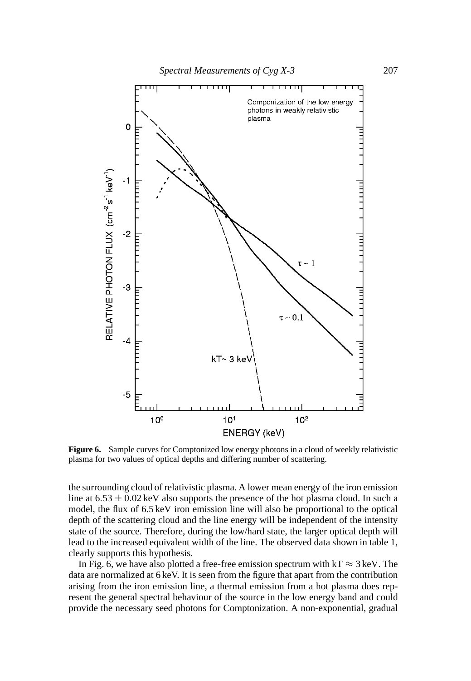

**Figure 6.** Sample curves for Comptonized low energy photons in a cloud of weekly relativistic plasma for two values of optical depths and differing number of scattering.

the surrounding cloud of relativistic plasma. A lower mean energy of the iron emission line at  $6.53 \pm 0.02$  keV also supports the presence of the hot plasma cloud. In such a model, the flux of 6.5 keV iron emission line will also be proportional to the optical depth of the scattering cloud and the line energy will be independent of the intensity state of the source. Therefore, during the low/hard state, the larger optical depth will lead to the increased equivalent width of the line. The observed data shown in table 1, clearly supports this hypothesis.

In Fig. 6, we have also plotted a free-free emission spectrum with  $kT \approx 3 \text{ keV}$ . The data are normalized at 6 keV. It is seen from the figure that apart from the contribution arising from the iron emission line, a thermal emission from a hot plasma does represent the general spectral behaviour of the source in the low energy band and could provide the necessary seed photons for Comptonization. A non-exponential, gradual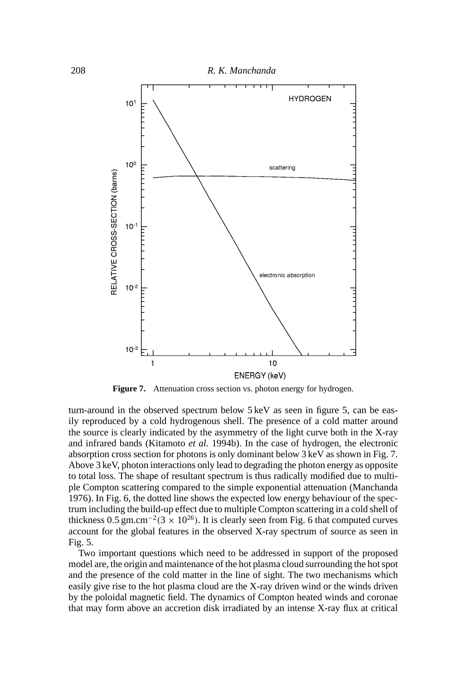

Figure 7. Attenuation cross section vs. photon energy for hydrogen.

turn-around in the observed spectrum below 5 keV as seen in figure 5, can be easily reproduced by a cold hydrogenous shell. The presence of a cold matter around the source is clearly indicated by the asymmetry of the light curve both in the X-ray and infrared bands (Kitamoto *et al.* 1994b). In the case of hydrogen, the electronic absorption cross section for photons is only dominant below 3 keV as shown in Fig. 7. Above 3 keV, photon interactions only lead to degrading the photon energy as opposite to total loss. The shape of resultant spectrum is thus radically modified due to multiple Compton scattering compared to the simple exponential attenuation (Manchanda 1976). In Fig. 6, the dotted line shows the expected low energy behaviour of the spectrum including the build-up effect due to multiple Compton scattering in a cold shell of thickness 0.5 gm.cm<sup>-2</sup>(3 × 10<sup>26</sup>). It is clearly seen from Fig. 6 that computed curves account for the global features in the observed X-ray spectrum of source as seen in Fig. 5.

Two important questions which need to be addressed in support of the proposed model are, the origin and maintenance of the hot plasma cloud surrounding the hot spot and the presence of the cold matter in the line of sight. The two mechanisms which easily give rise to the hot plasma cloud are the X-ray driven wind or the winds driven by the poloidal magnetic field. The dynamics of Compton heated winds and coronae that may form above an accretion disk irradiated by an intense X-ray flux at critical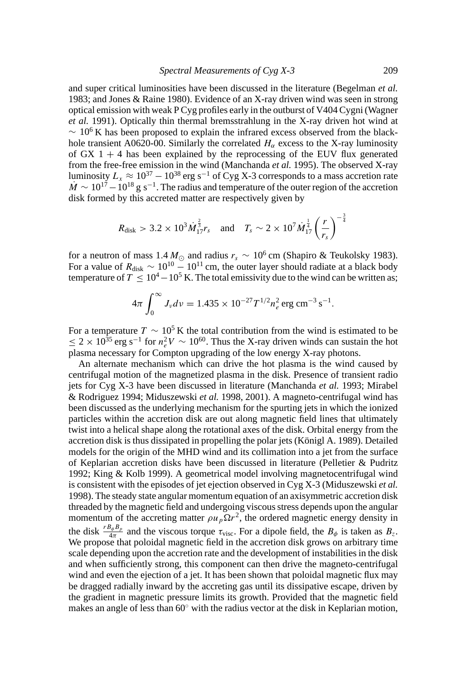and super critical luminosities have been discussed in the literature (Begelman *et al.* 1983; and Jones & Raine 1980). Evidence of an X-ray driven wind was seen in strong optical emission with weak P Cyg profiles early in the outburst of V404 Cygni (Wagner *et al.* 1991). Optically thin thermal bremsstrahlung in the X-ray driven hot wind at  $\sim 10^6$  K has been proposed to explain the infrared excess observed from the blackhole transient A0620-00. Similarly the correlated  $H_{\alpha}$  excess to the X-ray luminosity of GX  $1 + 4$  has been explained by the reprocessing of the EUV flux generated from the free-free emission in the wind (Manchanda *et al.* 1995). The observed X-ray luminosity  $L_x \approx 10^{37} - 10^{38}$  erg s<sup>-1</sup> of Cyg X-3 corresponds to a mass accretion rate  $\dot{M} \sim 10^{17} - 10^{18}$  g s<sup>-1</sup>. The radius and temperature of the outer region of the accretion disk formed by this accreted matter are respectively given by

$$
R_{\text{disk}} > 3.2 \times 10^3 \dot{M}_{17}^{\frac{2}{3}} r_s
$$
 and  $T_s \sim 2 \times 10^7 \dot{M}_{17}^{\frac{1}{4}} \left(\frac{r}{r_s}\right)^{-\frac{3}{4}}$ 

for a neutron of mass  $1.4 M_{\odot}$  and radius  $r_s \sim 10^6$  cm (Shapiro & Teukolsky 1983). For a value of  $R_{disk} \sim 10^{10} - 10^{11}$  cm, the outer layer should radiate at a black body temperature of  $T \le 10^4 - 10^5$  K. The total emissivity due to the wind can be written as;

$$
4\pi \int_0^\infty J_\nu d\nu = 1.435 \times 10^{-27} T^{1/2} n_e^2 \text{ erg cm}^{-3} \text{ s}^{-1}.
$$

For a temperature  $T \sim 10^5$  K the total contribution from the wind is estimated to be  $\leq 2 \times 10^{35}$  erg s<sup>-1</sup> for  $n_e^2 V \sim 10^{60}$ . Thus the X-ray driven winds can sustain the hot plasma necessary for Compton upgrading of the low energy X-ray photons.

An alternate mechanism which can drive the hot plasma is the wind caused by centrifugal motion of the magnetized plasma in the disk. Presence of transient radio jets for Cyg X-3 have been discussed in literature (Manchanda *et al.* 1993; Mirabel & Rodriguez 1994; Miduszewski *et al.* 1998, 2001). A magneto-centrifugal wind has been discussed as the underlying mechanism for the spurting jets in which the ionized particles within the accretion disk are out along magnetic field lines that ultimately twist into a helical shape along the rotational axes of the disk. Orbital energy from the accretion disk is thus dissipated in propelling the polar jets (Königl A. 1989). Detailed models for the origin of the MHD wind and its collimation into a jet from the surface of Keplarian accretion disks have been discussed in literature (Pelletier & Pudritz 1992; King & Kolb 1999). A geometrical model involving magnetocentrifugal wind is consistent with the episodes of jet ejection observed in Cyg X-3 (Miduszewski *et al.* 1998). The steady state angular momentum equation of an axisymmetric accretion disk threaded by the magnetic field and undergoing viscous stress depends upon the angular momentum of the accreting matter  $\rho u_p \Omega r^2$ , the ordered magnetic energy density in the disk  $\frac{B_{\phi}B_{p}}{4\pi}$  and the viscous torque  $\tau_{\text{visc}}$ . For a dipole field, the  $B_{\phi}$  is taken as  $B_{z}$ . We propose that poloidal magnetic field in the accretion disk grows on arbitrary time scale depending upon the accretion rate and the development of instabilities in the disk and when sufficiently strong, this component can then drive the magneto-centrifugal wind and even the ejection of a jet. It has been shown that poloidal magnetic flux may be dragged radially inward by the accreting gas until its dissipative escape, driven by the gradient in magnetic pressure limits its growth. Provided that the magnetic field makes an angle of less than 60◦ with the radius vector at the disk in Keplarian motion,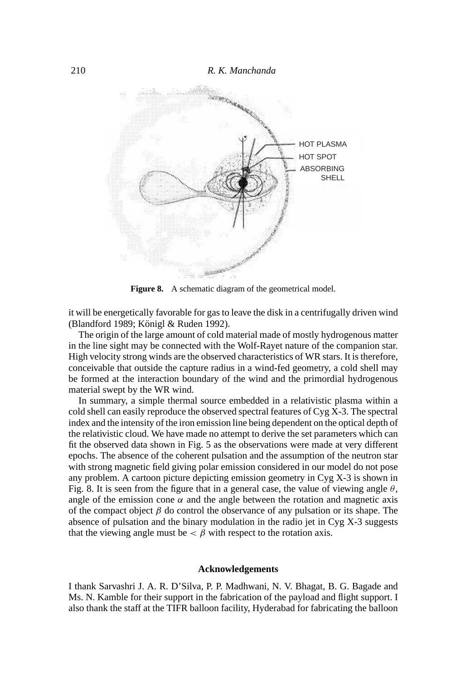

Figure 8. A schematic diagram of the geometrical model.

it will be energetically favorable for gas to leave the disk in a centrifugally driven wind (Blandford 1989; Königl & Ruden 1992).

The origin of the large amount of cold material made of mostly hydrogenous matter in the line sight may be connected with the Wolf-Rayet nature of the companion star. High velocity strong winds are the observed characteristics of WR stars. It is therefore, conceivable that outside the capture radius in a wind-fed geometry, a cold shell may be formed at the interaction boundary of the wind and the primordial hydrogenous material swept by the WR wind.

In summary, a simple thermal source embedded in a relativistic plasma within a cold shell can easily reproduce the observed spectral features of Cyg X-3. The spectral index and the intensity of the iron emission line being dependent on the optical depth of the relativistic cloud. We have made no attempt to derive the set parameters which can fit the observed data shown in Fig. 5 as the observations were made at very different epochs. The absence of the coherent pulsation and the assumption of the neutron star with strong magnetic field giving polar emission considered in our model do not pose any problem. A cartoon picture depicting emission geometry in Cyg X-3 is shown in Fig. 8. It is seen from the figure that in a general case, the value of viewing angle  $\theta$ , angle of the emission cone  $\alpha$  and the angle between the rotation and magnetic axis of the compact object  $\beta$  do control the observance of any pulsation or its shape. The absence of pulsation and the binary modulation in the radio jet in Cyg X-3 suggests that the viewing angle must be  $\lt \beta$  with respect to the rotation axis.

### **Acknowledgements**

I thank Sarvashri J. A. R. D'Silva, P. P. Madhwani, N. V. Bhagat, B. G. Bagade and Ms. N. Kamble for their support in the fabrication of the payload and flight support. I also thank the staff at the TIFR balloon facility, Hyderabad for fabricating the balloon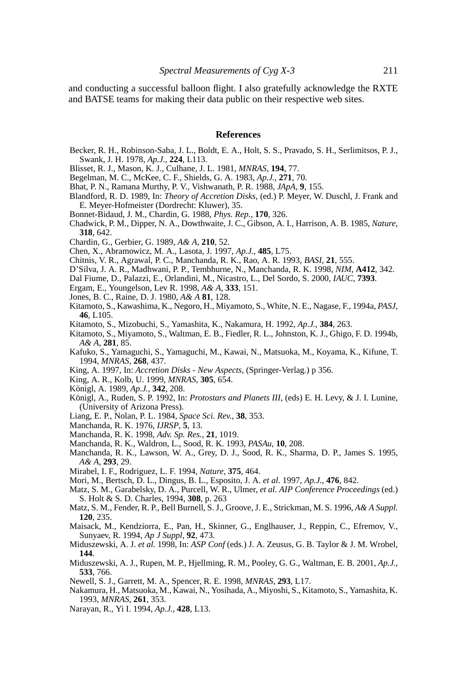and conducting a successful balloon flight. I also gratefully acknowledge the RXTE and BATSE teams for making their data public on their respective web sites.

## **References**

- Becker, R. H., Robinson-Saba, J. L., Boldt, E. A., Holt, S. S., Pravado, S. H., Serlimitsos, P. J., Swank, J. H. 1978, *Ap.J.*, **224**, L113.
- Blisset, R. J., Mason, K. J., Culhane, J. L. 1981, *MNRAS*, **194**, 77.
- Begelman, M. C., McKee, C. F., Shields, G. A. 1983, *Ap.J.*, **271**, 70.
- Bhat, P. N., Ramana Murthy, P. V., Vishwanath, P. R. 1988, *JApA*, **9**, 155.
- Blandford, R. D. 1989, In: *Theory of Accretion Disks*, (ed.) P. Meyer, W. Duschl, J. Frank and E. Meyer-Hofmeister (Dordrecht: Kluwer), 35.
- Bonnet-Bidaud, J. M., Chardin, G. 1988, *Phys. Rep.*, **170**, 326.
- Chadwick, P. M., Dipper, N. A., Dowthwaite, J. C., Gibson, A. I., Harrison, A. B. 1985, *Nature*, **318**, 642.
- Chardin, G., Gerbier, G. 1989, *A& A*, **210**, 52.
- Chen, X., Abramowicz, M. A., Lasota, J. 1997, *Ap.J.*, **485**, L75.
- Chitnis, V. R., Agrawal, P. C., Manchanda, R. K., Rao, A. R. 1993, *BASI*, **21**, 555.
- D'Silva, J. A. R., Madhwani, P. P., Tembhurne, N., Manchanda, R. K. 1998, *NIM*, **A412**, 342.
- Dal Fiume, D., Palazzi, E., Orlandini, M., Nicastro, L., Del Sordo, S. 2000, *IAUC*, **7393**.
- Ergam, E., Youngelson, Lev R. 1998, *A& A*, **333**, 151.
- Jones, B. C., Raine, D. J. 1980, *A& A* **81**, 128.
- Kitamoto, S., Kawashima, K., Negoro, H., Miyamoto, S., White, N. E., Nagase, F., 1994a, *PASJ*, **46**, L105.
- Kitamoto, S., Mizobuchi, S., Yamashita, K., Nakamura, H. 1992, *Ap.J.*, **384**, 263.
- Kitamoto, S., Miyamoto, S., Waltman, E. B., Fiedler, R. L., Johnston, K. J., Ghigo, F. D. 1994b, *A& A*, **281**, 85.
- Kafuko, S., Yamaguchi, S., Yamaguchi, M., Kawai, N., Matsuoka, M., Koyama, K., Kifune, T. 1994, *MNRAS*, **268**, 437.
- King, A. 1997, In: *Accretion Disks New Aspects*, (Springer-Verlag.) p 356.
- King, A. R., Kolb, U. 1999, *MNRAS*, **305**, 654.
- Königl, A. 1989, Ap.J., 342, 208.
- Königl, A., Ruden, S. P. 1992, In: *Protostars and Planets III*, (eds) E. H. Levy, & J. I. Lunine, (University of Arizona Press).
- Liang, E. P., Nolan, P. L. 1984, *Space Sci. Rev.*, **38**, 353.
- Manchanda, R. K. 1976, *IJRSP*, **5**, 13.
- Manchanda, R. K. 1998, *Adv. Sp. Res.*, **21**, 1019.
- Manchanda, R. K., Waldron, L., Sood, R. K. 1993, *PASAu*, **10**, 208.
- Manchanda, R. K., Lawson, W. A., Grey, D. J., Sood, R. K., Sharma, D. P., James S. 1995, *A& A*, **293**, 29.
- Mirabel, I. F., Rodriguez, L. F. 1994, *Nature*, **375**, 464.
- Mori, M., Bertsch, D. L., Dingus, B. L., Esposito, J. A. *et al.* 1997, *Ap.J.*, **476**, 842.
- Matz, S. M., Garabelsky, D. A., Purcell, W. R., Ulmer, *et al. AIP Conference Proceedings* (ed.) S. Holt & S. D. Charles, 1994, **308**, p. 263
- Matz, S. M., Fender, R. P., Bell Burnell, S. J., Groove, J. E., Strickman, M. S. 1996, *A& A Suppl.* **120**, 235.
- Maisack, M., Kendziorra, E., Pan, H., Skinner, G., Englhauser, J., Reppin, C., Efremov, V., Sunyaev, R. 1994, *Ap J Suppl*, **92**, 473.
- Miduszewski, A. J. *et al.* 1998, In: *ASP Conf* (eds.) J. A. Zeusus, G. B. Taylor & J. M. Wrobel, **144**.
- Miduszewski, A. J., Rupen, M. P., Hjellming, R. M., Pooley, G. G., Waltman, E. B. 2001, *Ap.J.*, **533**, 766.
- Newell, S. J., Garrett, M. A., Spencer, R. E. 1998, *MNRAS*, **293**, L17.
- Nakamura, H., Matsuoka, M., Kawai, N., Yosihada, A., Miyoshi, S., Kitamoto, S., Yamashita, K. 1993, *MNRAS*, **261**, 353.
- Narayan, R., Yi I. 1994, *Ap.J.*, **428**, L13.